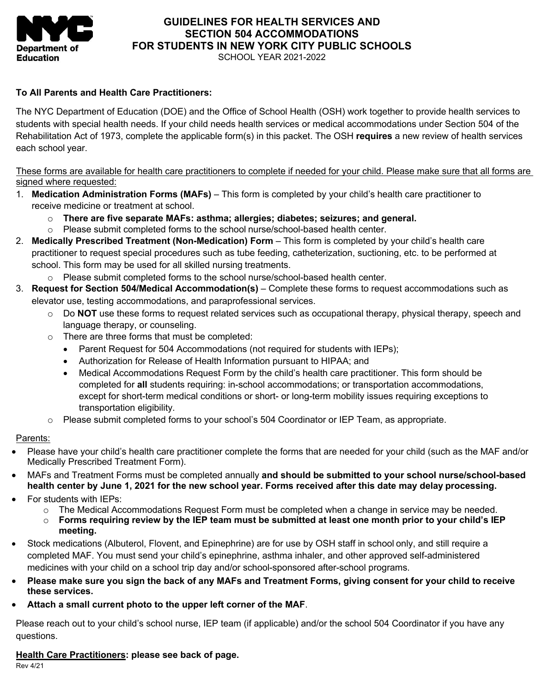

## **GUIDELINES FOR HEALTH SERVICES AND SECTION 504 ACCOMMODATIONS FOR STUDENTS IN NEW YORK CITY PUBLIC SCHOOLS**

SCHOOL YEAR 2021-2022

### **To All Parents and Health Care Practitioners:**

 The NYC Department of Education (DOE) and the Office of School Health (OSH) work together to provide health services to students with special health needs. If your child needs health services or medical accommodations under Section 504 of the each school year. Rehabilitation Act of 1973, complete the applicable form(s) in this packet. The OSH **requires** a new review of health services

These forms are available for health care practitioners to complete if needed for your child. Please make sure that all forms are signed where requested:

- 1. **Medication Administration Forms (MAFs)**  This form is completed by your child's health care practitioner to receive medicine or treatment at school.
	- o **There are five separate MAFs: asthma; allergies; diabetes; seizures; and general.**
	- o Please submit completed forms to the school nurse/school-based health center.
- 2. **Medically Prescribed Treatment (Non-Medication) Form**  This form is completed by your child's health care practitioner to request special procedures such as tube feeding, catheterization, suctioning, etc. to be performed at school. This form may be used for all skilled nursing treatments.
	- o Please submit completed forms to the school nurse/school-based health center.
- 3. **Request for Section 504/Medical Accommodation(s)**  Complete these forms to request accommodations such as elevator use, testing accommodations, and paraprofessional services.
	- o Do **NOT** use these forms to request related services such as occupational therapy, physical therapy, speech and language therapy, or counseling.
	- o There are three forms that must be completed:
		- Parent Request for 504 Accommodations (not required for students with IEPs);
		- Authorization for Release of Health Information pursuant to HIPAA; and
		- Medical Accommodations Request Form by the child's health care practitioner. This form should be except for short-term medical conditions or short- or long-term mobility issues requiring exceptions to transportation eligibility. completed for **all** students requiring: in-school accommodations; or transportation accommodations,
	- o Please submit completed forms to your school's 504 Coordinator or IEP Team, as appropriate.

#### Parents:

- Medically Prescribed Treatment Form). • Please have your child's health care practitioner complete the forms that are needed for your child (such as the MAF and/or
- • MAFs and Treatment Forms must be completed annually **and should be submitted to your school nurse/school-based health center by June 1, 2021 for the new school year. Forms received after this date may delay processing.**
- • For students with IEPs:
	- o The Medical Accommodations Request Form must be completed when a change in service may be needed.
	- $\circ$  Forms requiring review by the IEP team must be submitted at least one month prior to your child's IEP **meeting.**
- • Stock medications (Albuterol, Flovent, and Epinephrine) are for use by OSH staff in school only, and still require a completed MAF. You must send your child's epinephrine, asthma inhaler, and other approved self-administered medicines with your child on a school trip day and/or school-sponsored after-school programs.
- **Please make sure you sign the back of any MAFs and Treatment Forms, giving consent for your child to receive these services.**
- **Attach a small current photo to the upper left corner of the MAF**.

 Please reach out to your child's school nurse, IEP team (if applicable) and/or the school 504 Coordinator if you have any questions.

#### **Health Care Practitioners: please see back of page.**